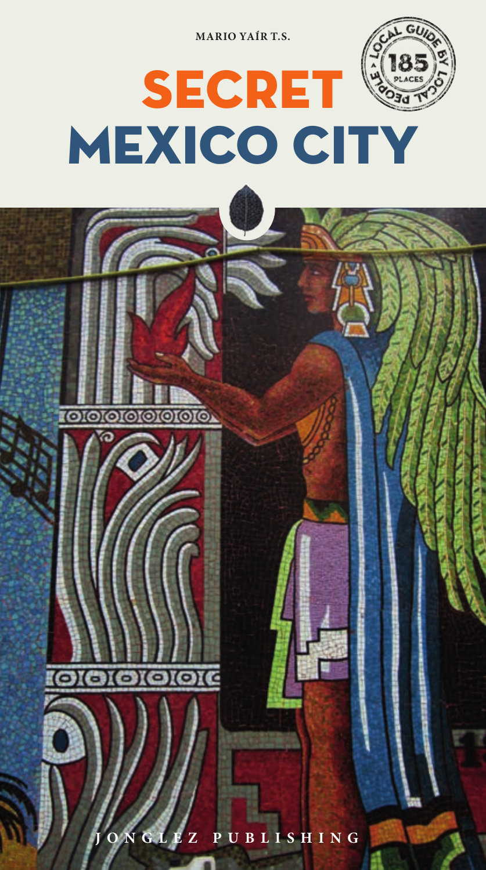**MARIO YAÍR T.S.**

# **MEXICO CITY** SECRET

GLEZ PUBLISHING

 $O(O(O)(O)(C))$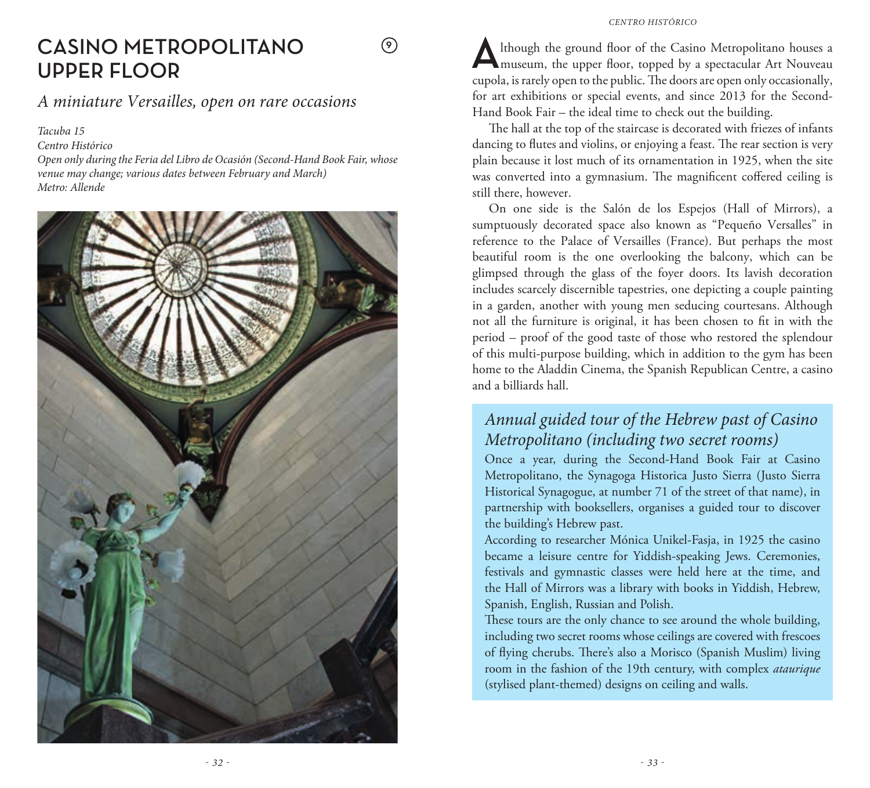# **CASINO METROPOLITANO UPPER FLOOR**

*A miniature Versailles, open on rare occasions*

*Tacuba 15*

*Centro Histórico*

*Open only during the Feria del Libro de Ocasión (Second-Hand Book Fair, whose venue may change; various dates between February and March) Metro: Allende*

**9**



#### *CENTRO HISTÓRICO*

Although the ground floor of the Casino Metropolitano houses a **museum**, the upper floor, topped by a spectacular Art Nouveau cupola, is rarely open to the public. The doors are open only occasionally, for art exhibitions or special events, and since 2013 for the Second-Hand Book Fair – the ideal time to check out the building.

The hall at the top of the staircase is decorated with friezes of infants dancing to flutes and violins, or enjoying a feast. The rear section is very plain because it lost much of its ornamentation in 1925, when the site was converted into a gymnasium. The magnificent coffered ceiling is still there, however.

On one side is the Salón de los Espejos (Hall of Mirrors), a sumptuously decorated space also known as "Pequeño Versalles" in reference to the Palace of Versailles (France). But perhaps the most beautiful room is the one overlooking the balcony, which can be glimpsed through the glass of the foyer doors. Its lavish decoration includes scarcely discernible tapestries, one depicting a couple painting in a garden, another with young men seducing courtesans. Although not all the furniture is original, it has been chosen to fit in with the period – proof of the good taste of those who restored the splendour of this multi-purpose building, which in addition to the gym has been home to the Aladdin Cinema, the Spanish Republican Centre, a casino and a billiards hall.

## *Annual guided tour of the Hebrew past of Casino Metropolitano (including two secret rooms)*

Once a year, during the Second-Hand Book Fair at Casino Metropolitano, the Synagoga Historica Justo Sierra (Justo Sierra Historical Synagogue, at number 71 of the street of that name), in partnership with booksellers, organises a guided tour to discover the building's Hebrew past.

According to researcher Mónica Unikel-Fasja, in 1925 the casino became a leisure centre for Yiddish-speaking Jews. Ceremonies, festivals and gymnastic classes were held here at the time, and the Hall of Mirrors was a library with books in Yiddish, Hebrew, Spanish, English, Russian and Polish.

These tours are the only chance to see around the whole building, including two secret rooms whose ceilings are covered with frescoes of flying cherubs. There's also a Morisco (Spanish Muslim) living room in the fashion of the 19th century, with complex *ataurique* (stylised plant-themed) designs on ceiling and walls.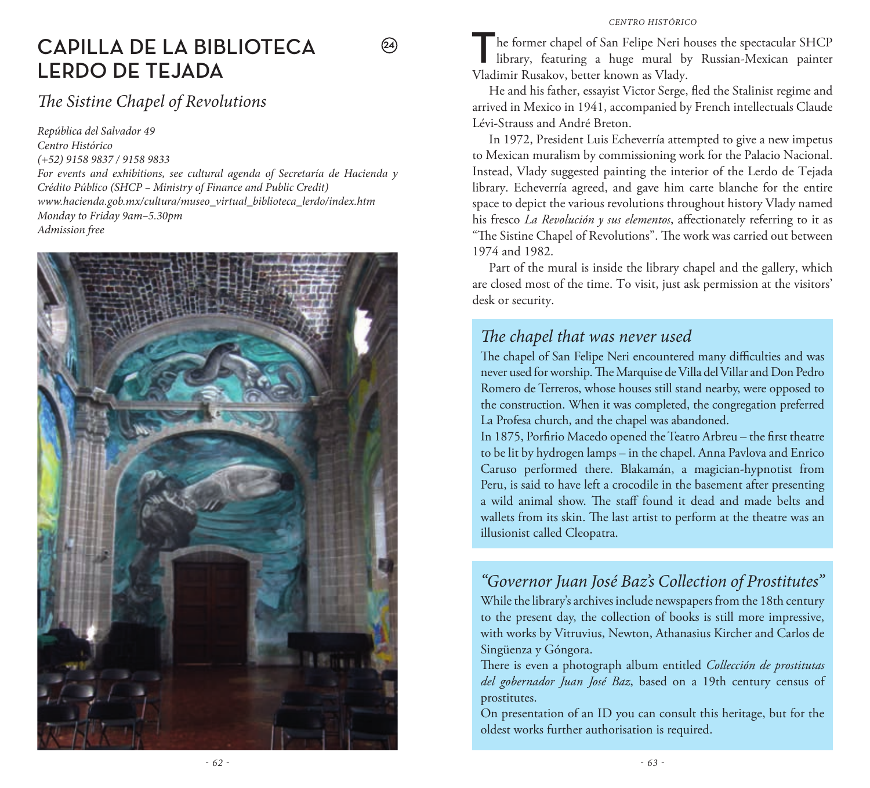# **CAPILLA DE LA BIBLIOTECA LERDO DE TEJADA**

#### *The Sistine Chapel of Revolutions*

*República del Salvador 49 Centro Histórico (+52) 9158 9837 / 9158 9833 For events and exhibitions, see cultural agenda of Secretaría de Hacienda y Crédito Público (SHCP – Ministry of Finance and Public Credit) www.hacienda.gob.mx/cultura/museo\_virtual\_biblioteca\_lerdo/index.htm Monday to Friday 9am–5.30pm Admission free*

**24**



#### *CENTRO HISTÓRICO*

The former chapel of San Felipe Neri houses the spectacular SHCP library, featuring a huge mural by Russian-Mexican painter Vladimir Rusakov, better known as Vlady.

He and his father, essayist Victor Serge, fled the Stalinist regime and arrived in Mexico in 1941, accompanied by French intellectuals Claude Lévi-Strauss and André Breton.

In 1972, President Luis Echeverría attempted to give a new impetus to Mexican muralism by commissioning work for the Palacio Nacional. Instead, Vlady suggested painting the interior of the Lerdo de Tejada library. Echeverría agreed, and gave him carte blanche for the entire space to depict the various revolutions throughout history Vlady named his fresco *La Revolución y sus elementos*, affectionately referring to it as "The Sistine Chapel of Revolutions". The work was carried out between 1974 and 1982.

Part of the mural is inside the library chapel and the gallery, which are closed most of the time. To visit, just ask permission at the visitors' desk or security.

#### *The chapel that was never used*

The chapel of San Felipe Neri encountered many difficulties and was never used for worship. The Marquise de Villa del Villar and Don Pedro Romero de Terreros, whose houses still stand nearby, were opposed to the construction. When it was completed, the congregation preferred La Profesa church, and the chapel was abandoned.

In 1875, Porfirio Macedo opened the Teatro Arbreu – the first theatre to be lit by hydrogen lamps – in the chapel. Anna Pavlova and Enrico Caruso performed there. Blakamán, a magician-hypnotist from Peru, is said to have left a crocodile in the basement after presenting a wild animal show. The staff found it dead and made belts and wallets from its skin. The last artist to perform at the theatre was an illusionist called Cleopatra.

#### *"Governor Juan José Baz's Collection of Prostitutes"*

While the library's archives include newspapers from the 18th century to the present day, the collection of books is still more impressive, with works by Vitruvius, Newton, Athanasius Kircher and Carlos de Singüenza y Góngora.

There is even a photograph album entitled *Collección de prostitutas del gobernador Juan José Baz*, based on a 19th century census of prostitutes.

On presentation of an ID you can consult this heritage, but for the oldest works further authorisation is required.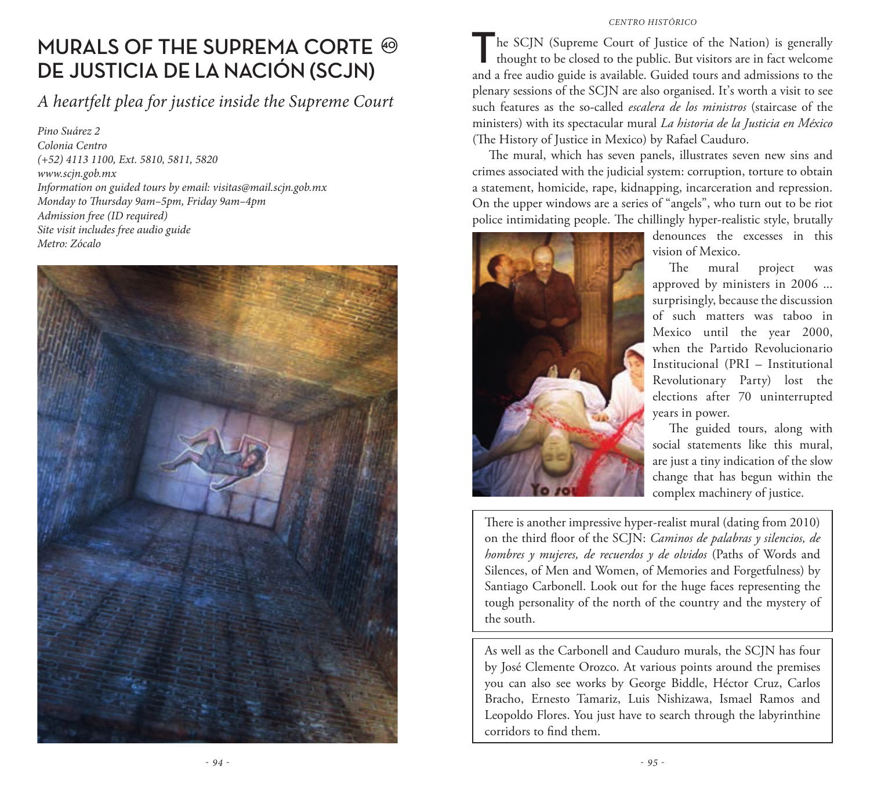# **MURALS OF THE SUPREMA CORTE 40DE JUSTICIA DE LA NACIÓN (SCJN)**

### *A heartfelt plea for justice inside the Supreme Court*

*Pino Suárez 2 Colonia Centro (+52) 4113 1100, Ext. 5810, 5811, 5820 www.scjn.gob.mx Information on guided tours by email: visitas@mail.scjn.gob.mx Monday to Thursday 9am–5pm, Friday 9am–4pm Admission free (ID required) Site visit includes free audio guide Metro: Zócalo*



#### *CENTRO HISTÓRICO*

**T**he SCJN (Supreme Court of Justice of the Nation) is generally thought to be closed to the public. But visitors are in fact welcome and a free audio guide is available. Guided tours and admissions to the plenary sessions of the SCJN are also organised. It's worth a visit to see such features as the so-called *escalera de los ministros* (staircase of the ministers) with its spectacular mural *La historia de la Justicia en México* (The History of Justice in Mexico) by Rafael Cauduro.

The mural, which has seven panels, illustrates seven new sins and crimes associated with the judicial system: corruption, torture to obtain a statement, homicide, rape, kidnapping, incarceration and repression. On the upper windows are a series of "angels", who turn out to be riot police intimidating people. The chillingly hyper-realistic style, brutally



denounces the excesses in this vision of Mexico.

The mural project was approved by ministers in 2006 ... surprisingly, because the discussion of such matters was taboo in Mexico until the year 2000, when the Partido Revolucionario Institucional (PRI – Institutional Revolutionary Party) lost the elections after 70 uninterrupted years in power.

The guided tours, along with social statements like this mural, are just a tiny indication of the slow change that has begun within the complex machinery of justice.

There is another impressive hyper-realist mural (dating from 2010) on the third floor of the SCJN: *Caminos de palabras y silencios, de hombres y mujeres, de recuerdos y de olvidos* (Paths of Words and Silences, of Men and Women, of Memories and Forgetfulness) by Santiago Carbonell. Look out for the huge faces representing the tough personality of the north of the country and the mystery of the south.

As well as the Carbonell and Cauduro murals, the SCJN has four by José Clemente Orozco. At various points around the premises you can also see works by George Biddle, Héctor Cruz, Carlos Bracho, Ernesto Tamariz, Luis Nishizawa, Ismael Ramos and Leopoldo Flores. You just have to search through the labyrinthine corridors to find them.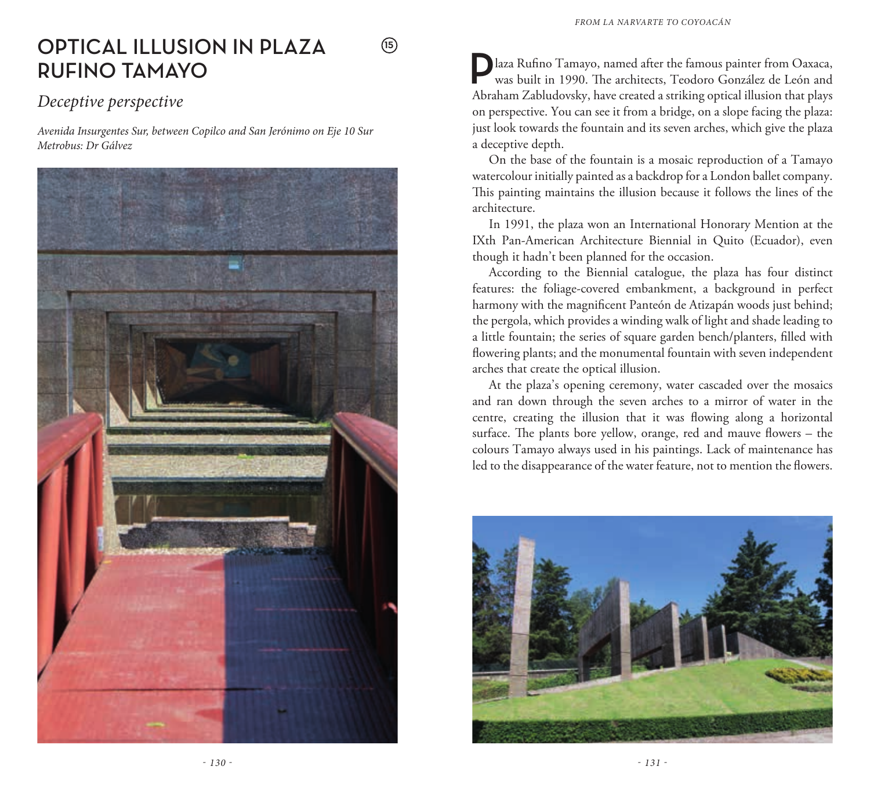# **OPTICAL ILLUSION IN PLAZA RUFINO TAMAYO**

#### *Deceptive perspective*

*Avenida Insurgentes Sur, between Copilco and San Jerónimo on Eje 10 Sur Metrobus: Dr Gálvez*

**15**



**P**laza Rufino Tamayo, named after the famous painter from Oaxaca, was built in 1990. The architects, Teodoro González de León and Abraham Zabludovsky, have created a striking optical illusion that plays on perspective. You can see it from a bridge, on a slope facing the plaza: just look towards the fountain and its seven arches, which give the plaza a deceptive depth.

On the base of the fountain is a mosaic reproduction of a Tamayo watercolour initially painted as a backdrop for a London ballet company. This painting maintains the illusion because it follows the lines of the architecture.

In 1991, the plaza won an International Honorary Mention at the IXth Pan-American Architecture Biennial in Quito (Ecuador), even though it hadn't been planned for the occasion.

According to the Biennial catalogue, the plaza has four distinct features: the foliage-covered embankment, a background in perfect harmony with the magnificent Panteón de Atizapán woods just behind; the pergola, which provides a winding walk of light and shade leading to a little fountain; the series of square garden bench/planters, filled with flowering plants; and the monumental fountain with seven independent arches that create the optical illusion.

At the plaza's opening ceremony, water cascaded over the mosaics and ran down through the seven arches to a mirror of water in the centre, creating the illusion that it was flowing along a horizontal surface. The plants bore yellow, orange, red and mauve flowers – the colours Tamayo always used in his paintings. Lack of maintenance has led to the disappearance of the water feature, not to mention the flowers.

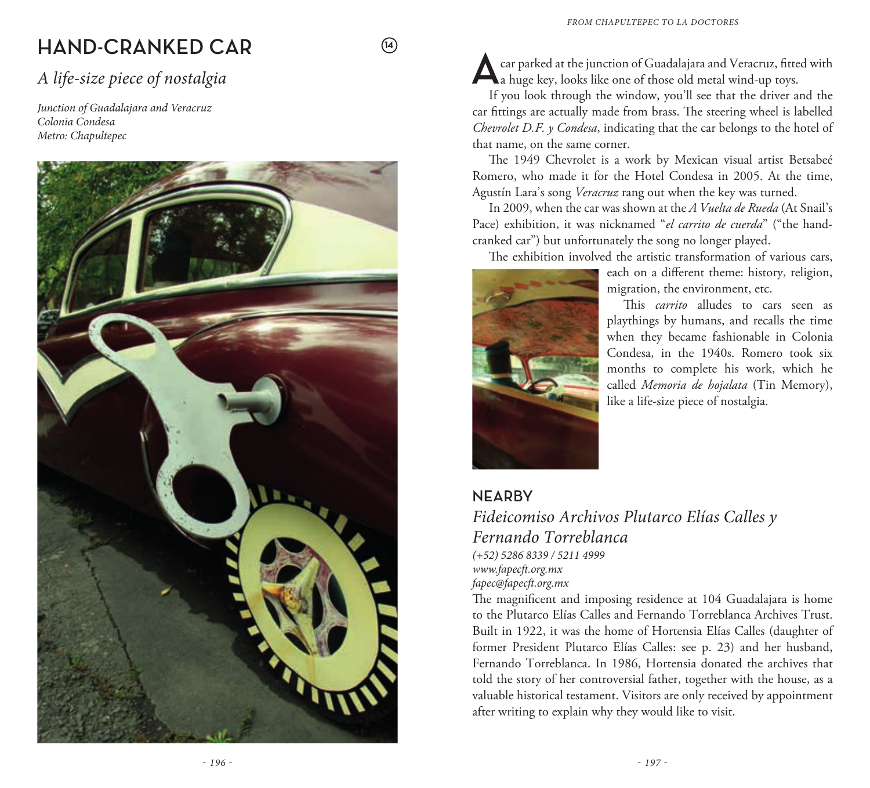# **HAND-CRANKED CAR**

## *A life-size piece of nostalgia*

*Junction of Guadalajara and Veracruz Colonia Condesa Metro: Chapultepec*



A car parked at the junction of Guadalajara and Veracruz, fitted with<br>
a huge key, looks like one of those old metal wind-up toys.

If you look through the window, you'll see that the driver and the car fittings are actually made from brass. The steering wheel is labelled *Chevrolet D.F. y Condesa*, indicating that the car belongs to the hotel of that name, on the same corner.

The 1949 Chevrolet is a work by Mexican visual artist Betsabeé Romero, who made it for the Hotel Condesa in 2005. At the time, Agustín Lara's song *Veracruz* rang out when the key was turned.

In 2009, when the car was shown at the *A Vuelta de Rueda* (At Snail's Pace) exhibition, it was nicknamed "*el carrito de cuerda*" ("the handcranked car") but unfortunately the song no longer played.

The exhibition involved the artistic transformation of various cars,



each on a different theme: history, religion, migration, the environment, etc.

This *carrito* alludes to cars seen as playthings by humans, and recalls the time when they became fashionable in Colonia Condesa, in the 1940s. Romero took six months to complete his work, which he called *Memoria de hojalata* (Tin Memory), like a life-size piece of nostalgia.

#### **NEARBY**

**14**

*Fideicomiso Archivos Plutarco Elías Calles y Fernando Torreblanca (+52) 5286 8339 / 5211 4999 www.fapecft.org.mx*

*fapec@fapecft.org.mx*

The magnificent and imposing residence at 104 Guadalajara is home to the Plutarco Elías Calles and Fernando Torreblanca Archives Trust. Built in 1922, it was the home of Hortensia Elías Calles (daughter of former President Plutarco Elías Calles: see p. 23) and her husband, Fernando Torreblanca. In 1986, Hortensia donated the archives that told the story of her controversial father, together with the house, as a valuable historical testament. Visitors are only received by appointment after writing to explain why they would like to visit.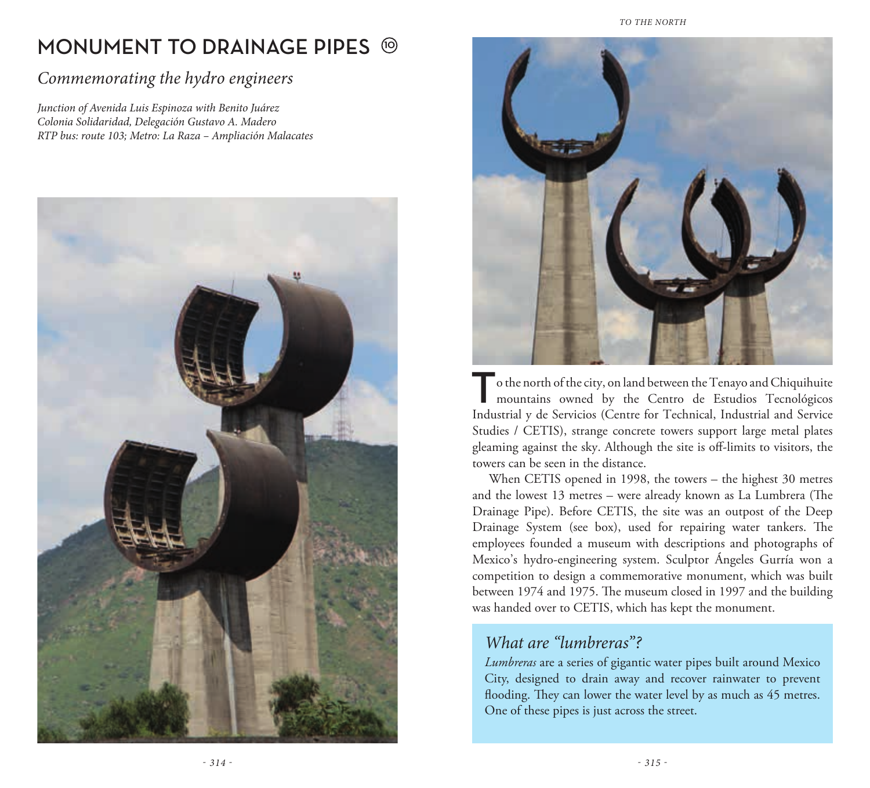#### *TO THE NORTH*

# **MONUMENT TO DRAINAGE PIPES 10**

#### *Commemorating the hydro engineers*

*Junction of Avenida Luis Espinoza with Benito Juárez Colonia Solidaridad, Delegación Gustavo A. Madero RTP bus: route 103; Metro: La Raza – Ampliación Malacates* 





**T**o the north of the city, on land between the Tenayo and Chiquihuite mountains owned by the Centro de Estudios Tecnológicos Industrial y de Servicios (Centre for Technical, Industrial and Service Studies / CETIS), strange concrete towers support large metal plates gleaming against the sky. Although the site is off-limits to visitors, the towers can be seen in the distance.

When CETIS opened in 1998, the towers – the highest 30 metres and the lowest 13 metres – were already known as La Lumbrera (The Drainage Pipe). Before CETIS, the site was an outpost of the Deep Drainage System (see box), used for repairing water tankers. The employees founded a museum with descriptions and photographs of Mexico's hydro-engineering system. Sculptor Ángeles Gurría won a competition to design a commemorative monument, which was built between 1974 and 1975. The museum closed in 1997 and the building was handed over to CETIS, which has kept the monument.

## *What are "lumbreras"?*

*Lumbreras* are a series of gigantic water pipes built around Mexico City, designed to drain away and recover rainwater to prevent flooding. They can lower the water level by as much as 45 metres. One of these pipes is just across the street.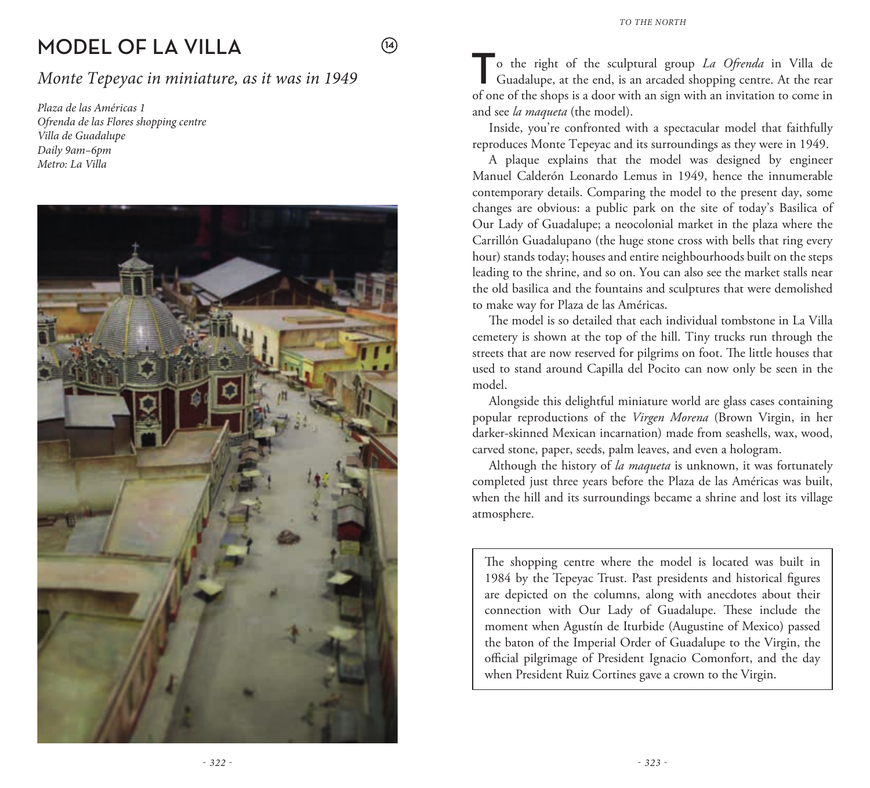# **MODEL OF LA VILLA**

#### **14**

#### *Monte Tepeyac in miniature, as it was in 1949*

*Plaza de las Américas 1 Ofrenda de las Flores shopping centre Villa de Guadalupe Daily 9am–6pm Metro: La Villa*



**T**o the right of the sculptural group *La Ofrenda* in Villa de Guadalupe, at the end, is an arcaded shopping centre. At the rear of one of the shops is a door with an sign with an invitation to come in and see *la maqueta* (the model).

Inside, you're confronted with a spectacular model that faithfully reproduces Monte Tepeyac and its surroundings as they were in 1949.

A plaque explains that the model was designed by engineer Manuel Calderón Leonardo Lemus in 1949, hence the innumerable contemporary details. Comparing the model to the present day, some changes are obvious: a public park on the site of today's Basilica of Our Lady of Guadalupe; a neocolonial market in the plaza where the Carrillón Guadalupano (the huge stone cross with bells that ring every hour) stands today; houses and entire neighbourhoods built on the steps leading to the shrine, and so on. You can also see the market stalls near the old basilica and the fountains and sculptures that were demolished to make way for Plaza de las Américas.

The model is so detailed that each individual tombstone in La Villa cemetery is shown at the top of the hill. Tiny trucks run through the streets that are now reserved for pilgrims on foot. The little houses that used to stand around Capilla del Pocito can now only be seen in the model.

Alongside this delightful miniature world are glass cases containing popular reproductions of the *Virgen Morena* (Brown Virgin, in her darker-skinned Mexican incarnation) made from seashells, wax, wood, carved stone, paper, seeds, palm leaves, and even a hologram.

Although the history of *la maqueta* is unknown, it was fortunately completed just three years before the Plaza de las Américas was built, when the hill and its surroundings became a shrine and lost its village atmosphere.

The shopping centre where the model is located was built in 1984 by the Tepeyac Trust. Past presidents and historical figures are depicted on the columns, along with anecdotes about their connection with Our Lady of Guadalupe. These include the moment when Agustín de Iturbide (Augustine of Mexico) passed the baton of the Imperial Order of Guadalupe to the Virgin, the official pilgrimage of President Ignacio Comonfort, and the day when President Ruiz Cortines gave a crown to the Virgin.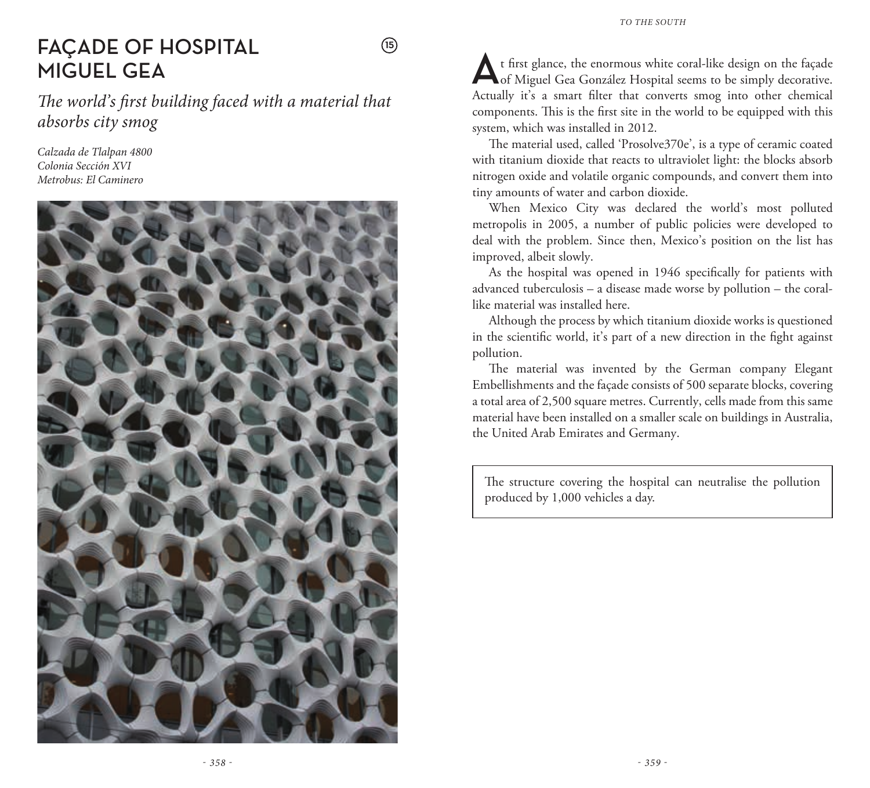# **FAÇADE OF HOSPITAL MIGUEL GEA**

*The world's first building faced with a material that absorbs city smog*

**15**

*Calzada de Tlalpan 4800 Colonia Sección XVI Metrobus: El Caminero*



**A**t first glance, the enormous white coral-like design on the façade of Miguel Gea González Hospital seems to be simply decorative. Actually it's a smart filter that converts smog into other chemical components. This is the first site in the world to be equipped with this system, which was installed in 2012.

The material used, called 'Prosolve370e', is a type of ceramic coated with titanium dioxide that reacts to ultraviolet light: the blocks absorb nitrogen oxide and volatile organic compounds, and convert them into tiny amounts of water and carbon dioxide.

When Mexico City was declared the world's most polluted metropolis in 2005, a number of public policies were developed to deal with the problem. Since then, Mexico's position on the list has improved, albeit slowly.

As the hospital was opened in 1946 specifically for patients with advanced tuberculosis – a disease made worse by pollution – the corallike material was installed here.

Although the process by which titanium dioxide works is questioned in the scientific world, it's part of a new direction in the fight against pollution.

The material was invented by the German company Elegant Embellishments and the façade consists of 500 separate blocks, covering a total area of 2,500 square metres. Currently, cells made from this same material have been installed on a smaller scale on buildings in Australia, the United Arab Emirates and Germany.

The structure covering the hospital can neutralise the pollution produced by 1,000 vehicles a day.